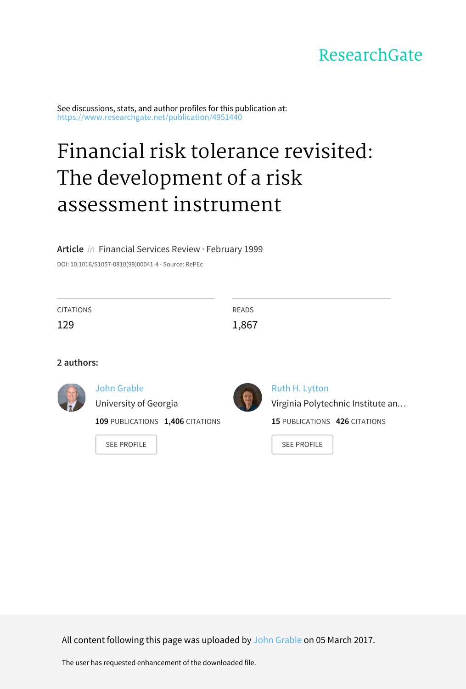# ResearchGate

See discussions, stats, and author profiles for this publication at: [https://www.researchgate.net/publication/4951440](https://www.researchgate.net/publication/4951440_Financial_risk_tolerance_revisited_The_development_of_a_risk_assessment_instrument?enrichId=rgreq-81e453807169823ece56453b6b602f62-XXX&enrichSource=Y292ZXJQYWdlOzQ5NTE0NDA7QVM6OTc2NTYyNzc4MzE2OTdAMTQwMDI5NDQ3OTgwOA%3D%3D&el=1_x_2&_esc=publicationCoverPdf)

# Financial risk tolerance revisited: The [development](https://www.researchgate.net/publication/4951440_Financial_risk_tolerance_revisited_The_development_of_a_risk_assessment_instrument?enrichId=rgreq-81e453807169823ece56453b6b602f62-XXX&enrichSource=Y292ZXJQYWdlOzQ5NTE0NDA7QVM6OTc2NTYyNzc4MzE2OTdAMTQwMDI5NDQ3OTgwOA%3D%3D&el=1_x_3&_esc=publicationCoverPdf) of a risk assessment instrument

**Article** in Financial Services Review · February 1999

DOI: 10.1016/S1057-0810(99)00041-4 · Source: RePEc

| <b>CITATIONS</b> | <b>READS</b> |
|------------------|--------------|
| 129              | 1,867        |
|                  |              |

#### **2 authors:**



John [Grable](https://www.researchgate.net/profile/John_Grable?enrichId=rgreq-81e453807169823ece56453b6b602f62-XXX&enrichSource=Y292ZXJQYWdlOzQ5NTE0NDA7QVM6OTc2NTYyNzc4MzE2OTdAMTQwMDI5NDQ3OTgwOA%3D%3D&el=1_x_5&_esc=publicationCoverPdf)

[University](https://www.researchgate.net/institution/University_of_Georgia?enrichId=rgreq-81e453807169823ece56453b6b602f62-XXX&enrichSource=Y292ZXJQYWdlOzQ5NTE0NDA7QVM6OTc2NTYyNzc4MzE2OTdAMTQwMDI5NDQ3OTgwOA%3D%3D&el=1_x_6&_esc=publicationCoverPdf) of Georgia

**109** PUBLICATIONS **1,406** CITATIONS

SEE [PROFILE](https://www.researchgate.net/profile/John_Grable?enrichId=rgreq-81e453807169823ece56453b6b602f62-XXX&enrichSource=Y292ZXJQYWdlOzQ5NTE0NDA7QVM6OTc2NTYyNzc4MzE2OTdAMTQwMDI5NDQ3OTgwOA%3D%3D&el=1_x_7&_esc=publicationCoverPdf)



Ruth H. [Lytton](https://www.researchgate.net/profile/Ruth_Lytton?enrichId=rgreq-81e453807169823ece56453b6b602f62-XXX&enrichSource=Y292ZXJQYWdlOzQ5NTE0NDA7QVM6OTc2NTYyNzc4MzE2OTdAMTQwMDI5NDQ3OTgwOA%3D%3D&el=1_x_5&_esc=publicationCoverPdf) Virginia [Polytechnic](https://www.researchgate.net/institution/Virginia_Polytechnic_Institute_and_State_University?enrichId=rgreq-81e453807169823ece56453b6b602f62-XXX&enrichSource=Y292ZXJQYWdlOzQ5NTE0NDA7QVM6OTc2NTYyNzc4MzE2OTdAMTQwMDI5NDQ3OTgwOA%3D%3D&el=1_x_6&_esc=publicationCoverPdf) Institute an… **15** PUBLICATIONS **426** CITATIONS

SEE [PROFILE](https://www.researchgate.net/profile/Ruth_Lytton?enrichId=rgreq-81e453807169823ece56453b6b602f62-XXX&enrichSource=Y292ZXJQYWdlOzQ5NTE0NDA7QVM6OTc2NTYyNzc4MzE2OTdAMTQwMDI5NDQ3OTgwOA%3D%3D&el=1_x_7&_esc=publicationCoverPdf)

All content following this page was uploaded by John [Grable](https://www.researchgate.net/profile/John_Grable?enrichId=rgreq-81e453807169823ece56453b6b602f62-XXX&enrichSource=Y292ZXJQYWdlOzQ5NTE0NDA7QVM6OTc2NTYyNzc4MzE2OTdAMTQwMDI5NDQ3OTgwOA%3D%3D&el=1_x_10&_esc=publicationCoverPdf) on 05 March 2017.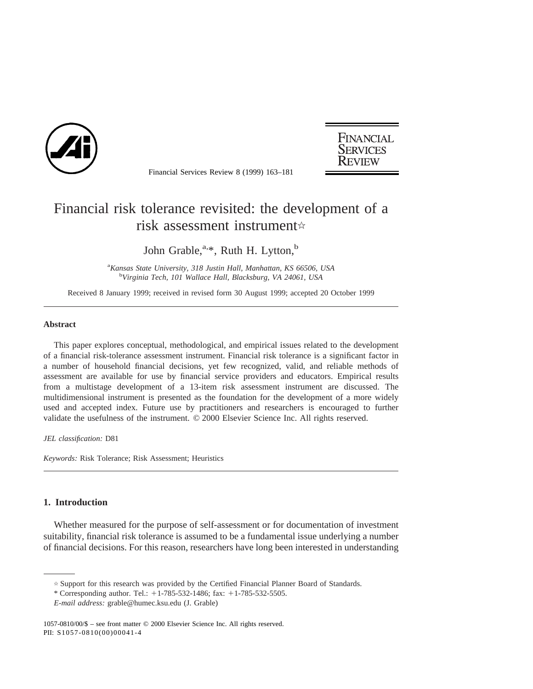

Financial Services Review 8 (1999) 163–181

FINANCIAL **ERVICES** 

# Financial risk tolerance revisited: the development of a risk assessment instrument<

John Grable,<sup>a,\*</sup>, Ruth H. Lytton,<sup>b</sup>

<sup>a</sup> Kansas State University, 318 Justin Hall, Manhattan, KS 66506, USA<br><sup>b</sup> Virginia Tech, 101 Wallace Hall, Blacksburg, VA 24061, USA *Virginia Tech, 101 Wallace Hall, Blacksburg, VA 24061, USA*

Received 8 January 1999; received in revised form 30 August 1999; accepted 20 October 1999

#### **Abstract**

This paper explores conceptual, methodological, and empirical issues related to the development of a financial risk-tolerance assessment instrument. Financial risk tolerance is a significant factor in a number of household financial decisions, yet few recognized, valid, and reliable methods of assessment are available for use by financial service providers and educators. Empirical results from a multistage development of a 13-item risk assessment instrument are discussed. The multidimensional instrument is presented as the foundation for the development of a more widely used and accepted index. Future use by practitioners and researchers is encouraged to further validate the usefulness of the instrument. © 2000 Elsevier Science Inc. All rights reserved.

*JEL classification:* D81

*Keywords:* Risk Tolerance; Risk Assessment; Heuristics

#### **1. Introduction**

Whether measured for the purpose of self-assessment or for documentation of investment suitability, financial risk tolerance is assumed to be a fundamental issue underlying a number of financial decisions. For this reason, researchers have long been interested in understanding

 $\dot{\gamma}$  Support for this research was provided by the Certified Financial Planner Board of Standards.

<sup>\*</sup> Corresponding author. Tel.:  $+1-785-532-1486$ ; fax:  $+1-785-532-5505$ .

*E-mail address:* grable@humec.ksu.edu (J. Grable)

<sup>1057-0810/00/\$ –</sup> see front matter © 2000 Elsevier Science Inc. All rights reserved. PII: S1057-0810(00)00041-4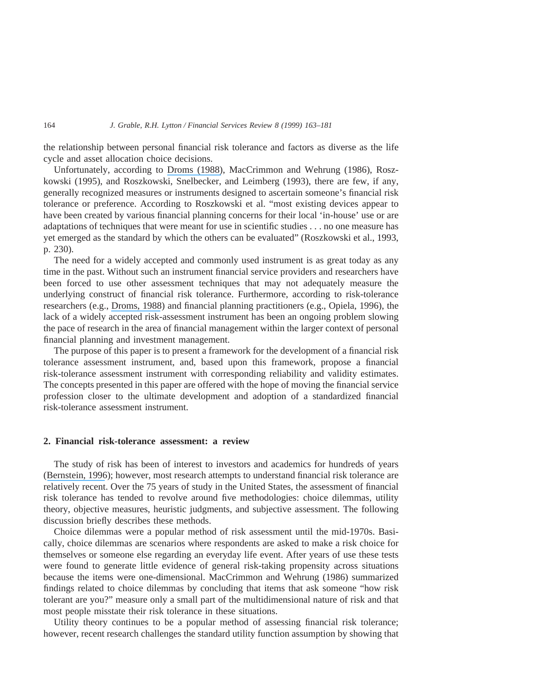the relationship between personal financial risk tolerance and factors as diverse as the life cycle and asset allocation choice decisions.

Unfortunately, according to [Droms \(1988\)](https://www.researchgate.net/publication/291786781_Measuring_Investor_Risk_Capacity_with_a_PASS?el=1_x_8&enrichId=rgreq-81e453807169823ece56453b6b602f62-XXX&enrichSource=Y292ZXJQYWdlOzQ5NTE0NDA7QVM6OTc2NTYyNzc4MzE2OTdAMTQwMDI5NDQ3OTgwOA==), MacCrimmon and Wehrung (1986), Roszkowski (1995), and Roszkowski, Snelbecker, and Leimberg (1993), there are few, if any, generally recognized measures or instruments designed to ascertain someone's financial risk tolerance or preference. According to Roszkowski et al. "most existing devices appear to have been created by various financial planning concerns for their local 'in-house' use or are adaptations of techniques that were meant for use in scientific studies . . . no one measure has yet emerged as the standard by which the others can be evaluated" (Roszkowski et al., 1993, p. 230).

The need for a widely accepted and commonly used instrument is as great today as any time in the past. Without such an instrument financial service providers and researchers have been forced to use other assessment techniques that may not adequately measure the underlying construct of financial risk tolerance. Furthermore, according to risk-tolerance researchers (e.g., [Droms, 1988](https://www.researchgate.net/publication/291786781_Measuring_Investor_Risk_Capacity_with_a_PASS?el=1_x_8&enrichId=rgreq-81e453807169823ece56453b6b602f62-XXX&enrichSource=Y292ZXJQYWdlOzQ5NTE0NDA7QVM6OTc2NTYyNzc4MzE2OTdAMTQwMDI5NDQ3OTgwOA==)) and financial planning practitioners (e.g., Opiela, 1996), the lack of a widely accepted risk-assessment instrument has been an ongoing problem slowing the pace of research in the area of financial management within the larger context of personal financial planning and investment management.

The purpose of this paper is to present a framework for the development of a financial risk tolerance assessment instrument, and, based upon this framework, propose a financial risk-tolerance assessment instrument with corresponding reliability and validity estimates. The concepts presented in this paper are offered with the hope of moving the financial service profession closer to the ultimate development and adoption of a standardized financial risk-tolerance assessment instrument.

#### **2. Financial risk-tolerance assessment: a review**

The study of risk has been of interest to investors and academics for hundreds of years ([Bernstein, 1996](https://www.researchgate.net/publication/269488253_Against_The_Gods_The_Remarkable_Story_of_Risk?el=1_x_8&enrichId=rgreq-81e453807169823ece56453b6b602f62-XXX&enrichSource=Y292ZXJQYWdlOzQ5NTE0NDA7QVM6OTc2NTYyNzc4MzE2OTdAMTQwMDI5NDQ3OTgwOA==)); however, most research attempts to understand financial risk tolerance are relatively recent. Over the 75 years of study in the United States, the assessment of financial risk tolerance has tended to revolve around five methodologies: choice dilemmas, utility theory, objective measures, heuristic judgments, and subjective assessment. The following discussion briefly describes these methods.

Choice dilemmas were a popular method of risk assessment until the mid-1970s. Basically, choice dilemmas are scenarios where respondents are asked to make a risk choice for themselves or someone else regarding an everyday life event. After years of use these tests were found to generate little evidence of general risk-taking propensity across situations because the items were one-dimensional. MacCrimmon and Wehrung (1986) summarized findings related to choice dilemmas by concluding that items that ask someone "how risk tolerant are you?" measure only a small part of the multidimensional nature of risk and that most people misstate their risk tolerance in these situations.

Utility theory continues to be a popular method of assessing financial risk tolerance; however, recent research challenges the standard utility function assumption by showing that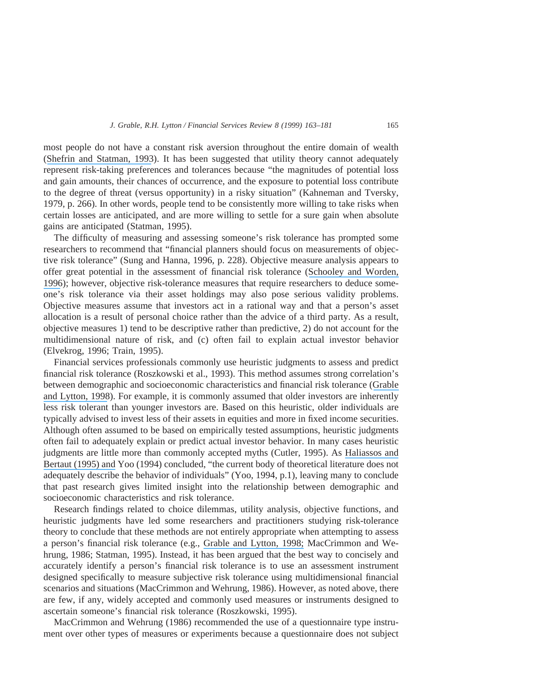most people do not have a constant risk aversion throughout the entire domain of wealth ([Shefrin and Statman, 1993](https://www.researchgate.net/publication/5055047_Behavioral_Aspects_of_the_Design_and_Marketing_of_Financial_Products?el=1_x_8&enrichId=rgreq-81e453807169823ece56453b6b602f62-XXX&enrichSource=Y292ZXJQYWdlOzQ5NTE0NDA7QVM6OTc2NTYyNzc4MzE2OTdAMTQwMDI5NDQ3OTgwOA==)). It has been suggested that utility theory cannot adequately represent risk-taking preferences and tolerances because "the magnitudes of potential loss and gain amounts, their chances of occurrence, and the exposure to potential loss contribute to the degree of threat (versus opportunity) in a risky situation" (Kahneman and Tversky, 1979, p. 266). In other words, people tend to be consistently more willing to take risks when certain losses are anticipated, and are more willing to settle for a sure gain when absolute gains are anticipated (Statman, 1995).

The difficulty of measuring and assessing someone's risk tolerance has prompted some researchers to recommend that "financial planners should focus on measurements of objective risk tolerance" (Sung and Hanna, 1996, p. 228). Objective measure analysis appears to offer great potential in the assessment of financial risk tolerance ([Schooley and Worden,](https://www.researchgate.net/publication/4951383_Risk_Aversion_Measures_Comparing_Attitudes_and_Asset_Allocation?el=1_x_8&enrichId=rgreq-81e453807169823ece56453b6b602f62-XXX&enrichSource=Y292ZXJQYWdlOzQ5NTE0NDA7QVM6OTc2NTYyNzc4MzE2OTdAMTQwMDI5NDQ3OTgwOA==) [1996](https://www.researchgate.net/publication/4951383_Risk_Aversion_Measures_Comparing_Attitudes_and_Asset_Allocation?el=1_x_8&enrichId=rgreq-81e453807169823ece56453b6b602f62-XXX&enrichSource=Y292ZXJQYWdlOzQ5NTE0NDA7QVM6OTc2NTYyNzc4MzE2OTdAMTQwMDI5NDQ3OTgwOA==)); however, objective risk-tolerance measures that require researchers to deduce someone's risk tolerance via their asset holdings may also pose serious validity problems. Objective measures assume that investors act in a rational way and that a person's asset allocation is a result of personal choice rather than the advice of a third party. As a result, objective measures 1) tend to be descriptive rather than predictive, 2) do not account for the multidimensional nature of risk, and (c) often fail to explain actual investor behavior (Elvekrog, 1996; Train, 1995).

Financial services professionals commonly use heuristic judgments to assess and predict financial risk tolerance (Roszkowski et al., 1993). This method assumes strong correlation's between demographic and socioeconomic characteristics and financial risk tolerance ([Grable](https://www.researchgate.net/publication/228225789_Investor_Risk_Tolerance_Testing_The_Efficacy_Of_Demographics_As_Differentiating_And_Classifying_Factors?el=1_x_8&enrichId=rgreq-81e453807169823ece56453b6b602f62-XXX&enrichSource=Y292ZXJQYWdlOzQ5NTE0NDA7QVM6OTc2NTYyNzc4MzE2OTdAMTQwMDI5NDQ3OTgwOA==) [and Lytton, 1998](https://www.researchgate.net/publication/228225789_Investor_Risk_Tolerance_Testing_The_Efficacy_Of_Demographics_As_Differentiating_And_Classifying_Factors?el=1_x_8&enrichId=rgreq-81e453807169823ece56453b6b602f62-XXX&enrichSource=Y292ZXJQYWdlOzQ5NTE0NDA7QVM6OTc2NTYyNzc4MzE2OTdAMTQwMDI5NDQ3OTgwOA==)). For example, it is commonly assumed that older investors are inherently less risk tolerant than younger investors are. Based on this heuristic, older individuals are typically advised to invest less of their assets in equities and more in fixed income securities. Although often assumed to be based on empirically tested assumptions, heuristic judgments often fail to adequately explain or predict actual investor behavior. In many cases heuristic judgments are little more than commonly accepted myths (Cutler, 1995). As [Haliassos and](https://www.researchgate.net/publication/4808963_Why_do_so_Few_Hold_Stocks?el=1_x_8&enrichId=rgreq-81e453807169823ece56453b6b602f62-XXX&enrichSource=Y292ZXJQYWdlOzQ5NTE0NDA7QVM6OTc2NTYyNzc4MzE2OTdAMTQwMDI5NDQ3OTgwOA==) [Bertaut \(1995\) and](https://www.researchgate.net/publication/4808963_Why_do_so_Few_Hold_Stocks?el=1_x_8&enrichId=rgreq-81e453807169823ece56453b6b602f62-XXX&enrichSource=Y292ZXJQYWdlOzQ5NTE0NDA7QVM6OTc2NTYyNzc4MzE2OTdAMTQwMDI5NDQ3OTgwOA==) Yoo (1994) concluded, "the current body of theoretical literature does not adequately describe the behavior of individuals" (Yoo, 1994, p.1), leaving many to conclude that past research gives limited insight into the relationship between demographic and socioeconomic characteristics and risk tolerance.

Research findings related to choice dilemmas, utility analysis, objective functions, and heuristic judgments have led some researchers and practitioners studying risk-tolerance theory to conclude that these methods are not entirely appropriate when attempting to assess a person's financial risk tolerance (e.g., [Grable and Lytton, 1998;](https://www.researchgate.net/publication/228225789_Investor_Risk_Tolerance_Testing_The_Efficacy_Of_Demographics_As_Differentiating_And_Classifying_Factors?el=1_x_8&enrichId=rgreq-81e453807169823ece56453b6b602f62-XXX&enrichSource=Y292ZXJQYWdlOzQ5NTE0NDA7QVM6OTc2NTYyNzc4MzE2OTdAMTQwMDI5NDQ3OTgwOA==) MacCrimmon and Wehrung, 1986; Statman, 1995). Instead, it has been argued that the best way to concisely and accurately identify a person's financial risk tolerance is to use an assessment instrument designed specifically to measure subjective risk tolerance using multidimensional financial scenarios and situations (MacCrimmon and Wehrung, 1986). However, as noted above, there are few, if any, widely accepted and commonly used measures or instruments designed to ascertain someone's financial risk tolerance (Roszkowski, 1995).

MacCrimmon and Wehrung (1986) recommended the use of a questionnaire type instrument over other types of measures or experiments because a questionnaire does not subject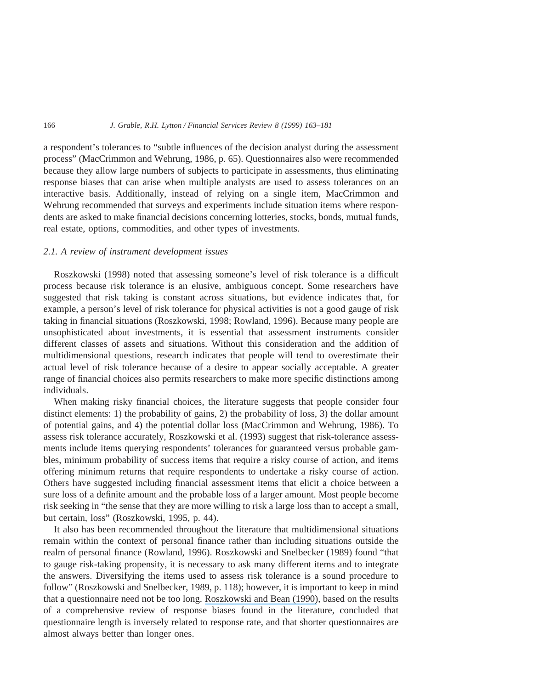a respondent's tolerances to "subtle influences of the decision analyst during the assessment process" (MacCrimmon and Wehrung, 1986, p. 65). Questionnaires also were recommended because they allow large numbers of subjects to participate in assessments, thus eliminating response biases that can arise when multiple analysts are used to assess tolerances on an interactive basis. Additionally, instead of relying on a single item, MacCrimmon and Wehrung recommended that surveys and experiments include situation items where respondents are asked to make financial decisions concerning lotteries, stocks, bonds, mutual funds, real estate, options, commodities, and other types of investments.

## *2.1. A review of instrument development issues*

Roszkowski (1998) noted that assessing someone's level of risk tolerance is a difficult process because risk tolerance is an elusive, ambiguous concept. Some researchers have suggested that risk taking is constant across situations, but evidence indicates that, for example, a person's level of risk tolerance for physical activities is not a good gauge of risk taking in financial situations (Roszkowski, 1998; Rowland, 1996). Because many people are unsophisticated about investments, it is essential that assessment instruments consider different classes of assets and situations. Without this consideration and the addition of multidimensional questions, research indicates that people will tend to overestimate their actual level of risk tolerance because of a desire to appear socially acceptable. A greater range of financial choices also permits researchers to make more specific distinctions among individuals.

When making risky financial choices, the literature suggests that people consider four distinct elements: 1) the probability of gains, 2) the probability of loss, 3) the dollar amount of potential gains, and 4) the potential dollar loss (MacCrimmon and Wehrung, 1986). To assess risk tolerance accurately, Roszkowski et al. (1993) suggest that risk-tolerance assessments include items querying respondents' tolerances for guaranteed versus probable gambles, minimum probability of success items that require a risky course of action, and items offering minimum returns that require respondents to undertake a risky course of action. Others have suggested including financial assessment items that elicit a choice between a sure loss of a definite amount and the probable loss of a larger amount. Most people become risk seeking in "the sense that they are more willing to risk a large loss than to accept a small, but certain, loss" (Roszkowski, 1995, p. 44).

It also has been recommended throughout the literature that multidimensional situations remain within the context of personal finance rather than including situations outside the realm of personal finance (Rowland, 1996). Roszkowski and Snelbecker (1989) found "that to gauge risk-taking propensity, it is necessary to ask many different items and to integrate the answers. Diversifying the items used to assess risk tolerance is a sound procedure to follow" (Roszkowski and Snelbecker, 1989, p. 118); however, it is important to keep in mind that a questionnaire need not be too long. [Roszkowski and Bean \(1990\)](https://www.researchgate.net/publication/225240332_Believe_It_or_Not_Longer_Questionnaires_Have_Lower_Response_Rates?el=1_x_8&enrichId=rgreq-81e453807169823ece56453b6b602f62-XXX&enrichSource=Y292ZXJQYWdlOzQ5NTE0NDA7QVM6OTc2NTYyNzc4MzE2OTdAMTQwMDI5NDQ3OTgwOA==), based on the results of a comprehensive review of response biases found in the literature, concluded that questionnaire length is inversely related to response rate, and that shorter questionnaires are almost always better than longer ones.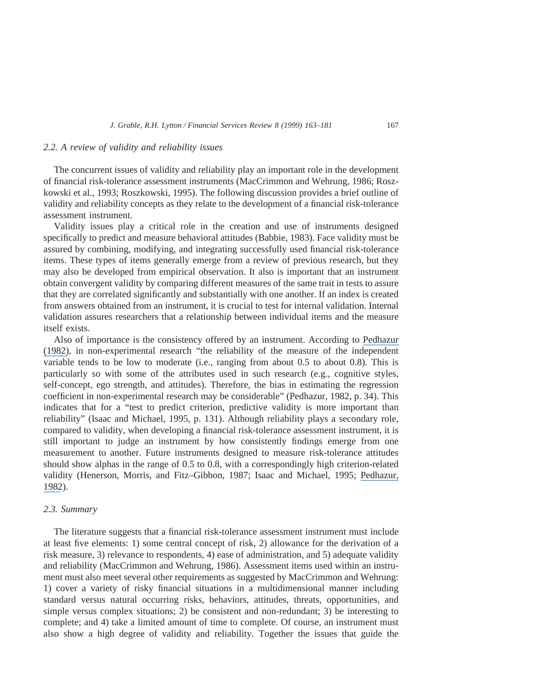#### *2.2. A review of validity and reliability issues*

The concurrent issues of validity and reliability play an important role in the development of financial risk-tolerance assessment instruments (MacCrimmon and Wehrung, 1986; Roszkowski et al., 1993; Roszkowski, 1995). The following discussion provides a brief outline of validity and reliability concepts as they relate to the development of a financial risk-tolerance assessment instrument.

Validity issues play a critical role in the creation and use of instruments designed specifically to predict and measure behavioral attitudes (Babbie, 1983). Face validity must be assured by combining, modifying, and integrating successfully used financial risk-tolerance items. These types of items generally emerge from a review of previous research, but they may also be developed from empirical observation. It also is important that an instrument obtain convergent validity by comparing different measures of the same trait in tests to assure that they are correlated significantly and substantially with one another. If an index is created from answers obtained from an instrument, it is crucial to test for internal validation. Internal validation assures researchers that a relationship between individual items and the measure itself exists.

Also of importance is the consistency offered by an instrument. According to [Pedhazur](https://www.researchgate.net/publication/49547463_Multiple_Regression_In_Behavioral_Research?el=1_x_8&enrichId=rgreq-81e453807169823ece56453b6b602f62-XXX&enrichSource=Y292ZXJQYWdlOzQ5NTE0NDA7QVM6OTc2NTYyNzc4MzE2OTdAMTQwMDI5NDQ3OTgwOA==) [\(1982\)](https://www.researchgate.net/publication/49547463_Multiple_Regression_In_Behavioral_Research?el=1_x_8&enrichId=rgreq-81e453807169823ece56453b6b602f62-XXX&enrichSource=Y292ZXJQYWdlOzQ5NTE0NDA7QVM6OTc2NTYyNzc4MzE2OTdAMTQwMDI5NDQ3OTgwOA==), in non-experimental research "the reliability of the measure of the independent variable tends to be low to moderate (i.e., ranging from about 0.5 to about 0.8). This is particularly so with some of the attributes used in such research (e.g., cognitive styles, self-concept, ego strength, and attitudes). Therefore, the bias in estimating the regression coefficient in non-experimental research may be considerable" (Pedhazur, 1982, p. 34). This indicates that for a "test to predict criterion, predictive validity is more important than reliability" (Isaac and Michael, 1995, p. 131). Although reliability plays a secondary role, compared to validity, when developing a financial risk-tolerance assessment instrument, it is still important to judge an instrument by how consistently findings emerge from one measurement to another. Future instruments designed to measure risk-tolerance attitudes should show alphas in the range of 0.5 to 0.8, with a correspondingly high criterion-related validity (Henerson, Morris, and Fitz–Gibbon, 1987; Isaac and Michael, 1995; [Pedhazur,](https://www.researchgate.net/publication/49547463_Multiple_Regression_In_Behavioral_Research?el=1_x_8&enrichId=rgreq-81e453807169823ece56453b6b602f62-XXX&enrichSource=Y292ZXJQYWdlOzQ5NTE0NDA7QVM6OTc2NTYyNzc4MzE2OTdAMTQwMDI5NDQ3OTgwOA==) [1982](https://www.researchgate.net/publication/49547463_Multiple_Regression_In_Behavioral_Research?el=1_x_8&enrichId=rgreq-81e453807169823ece56453b6b602f62-XXX&enrichSource=Y292ZXJQYWdlOzQ5NTE0NDA7QVM6OTc2NTYyNzc4MzE2OTdAMTQwMDI5NDQ3OTgwOA==)).

#### *2.3. Summary*

The literature suggests that a financial risk-tolerance assessment instrument must include at least five elements: 1) some central concept of risk, 2) allowance for the derivation of a risk measure, 3) relevance to respondents, 4) ease of administration, and 5) adequate validity and reliability (MacCrimmon and Wehrung, 1986). Assessment items used within an instrument must also meet several other requirements as suggested by MacCrimmon and Wehrung: 1) cover a variety of risky financial situations in a multidimensional manner including standard versus natural occurring risks, behaviors, attitudes, threats, opportunities, and simple versus complex situations; 2) be consistent and non-redundant; 3) be interesting to complete; and 4) take a limited amount of time to complete. Of course, an instrument must also show a high degree of validity and reliability. Together the issues that guide the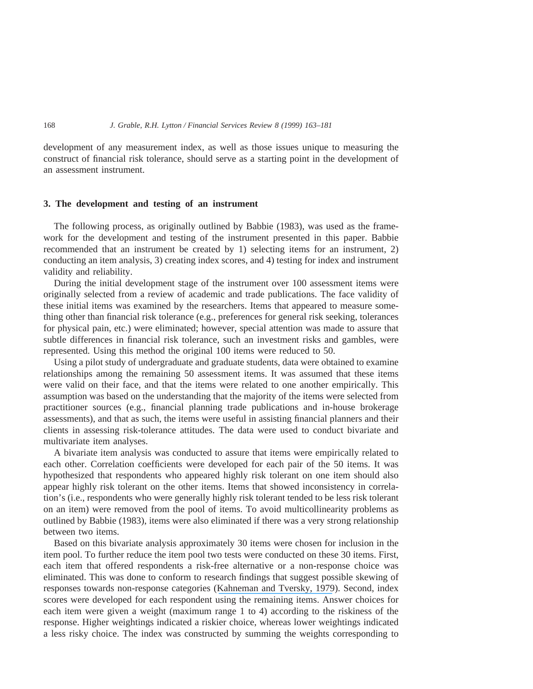development of any measurement index, as well as those issues unique to measuring the construct of financial risk tolerance, should serve as a starting point in the development of an assessment instrument.

#### **3. The development and testing of an instrument**

The following process, as originally outlined by Babbie (1983), was used as the framework for the development and testing of the instrument presented in this paper. Babbie recommended that an instrument be created by 1) selecting items for an instrument, 2) conducting an item analysis, 3) creating index scores, and 4) testing for index and instrument validity and reliability.

During the initial development stage of the instrument over 100 assessment items were originally selected from a review of academic and trade publications. The face validity of these initial items was examined by the researchers. Items that appeared to measure something other than financial risk tolerance (e.g., preferences for general risk seeking, tolerances for physical pain, etc.) were eliminated; however, special attention was made to assure that subtle differences in financial risk tolerance, such an investment risks and gambles, were represented. Using this method the original 100 items were reduced to 50.

Using a pilot study of undergraduate and graduate students, data were obtained to examine relationships among the remaining 50 assessment items. It was assumed that these items were valid on their face, and that the items were related to one another empirically. This assumption was based on the understanding that the majority of the items were selected from practitioner sources (e.g., financial planning trade publications and in-house brokerage assessments), and that as such, the items were useful in assisting financial planners and their clients in assessing risk-tolerance attitudes. The data were used to conduct bivariate and multivariate item analyses.

A bivariate item analysis was conducted to assure that items were empirically related to each other. Correlation coefficients were developed for each pair of the 50 items. It was hypothesized that respondents who appeared highly risk tolerant on one item should also appear highly risk tolerant on the other items. Items that showed inconsistency in correlation's (i.e., respondents who were generally highly risk tolerant tended to be less risk tolerant on an item) were removed from the pool of items. To avoid multicollinearity problems as outlined by Babbie (1983), items were also eliminated if there was a very strong relationship between two items.

Based on this bivariate analysis approximately 30 items were chosen for inclusion in the item pool. To further reduce the item pool two tests were conducted on these 30 items. First, each item that offered respondents a risk-free alternative or a non-response choice was eliminated. This was done to conform to research findings that suggest possible skewing of responses towards non-response categories ([Kahneman and Tversky, 1979](https://www.researchgate.net/publication/4814288_Prospect_Theory_An_Analysis_of_Decision_Under_Risk?el=1_x_8&enrichId=rgreq-81e453807169823ece56453b6b602f62-XXX&enrichSource=Y292ZXJQYWdlOzQ5NTE0NDA7QVM6OTc2NTYyNzc4MzE2OTdAMTQwMDI5NDQ3OTgwOA==)). Second, index scores were developed for each respondent using the remaining items. Answer choices for each item were given a weight (maximum range 1 to 4) according to the riskiness of the response. Higher weightings indicated a riskier choice, whereas lower weightings indicated a less risky choice. The index was constructed by summing the weights corresponding to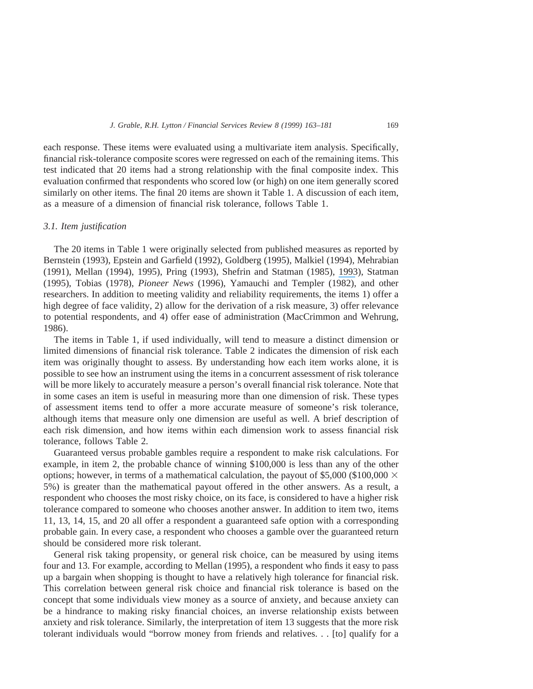each response. These items were evaluated using a multivariate item analysis. Specifically, financial risk-tolerance composite scores were regressed on each of the remaining items. This test indicated that 20 items had a strong relationship with the final composite index. This evaluation confirmed that respondents who scored low (or high) on one item generally scored similarly on other items. The final 20 items are shown it Table 1. A discussion of each item, as a measure of a dimension of financial risk tolerance, follows Table 1.

#### *3.1. Item justification*

The 20 items in Table 1 were originally selected from published measures as reported by Bernstein (1993), Epstein and Garfield (1992), Goldberg (1995), Malkiel (1994), Mehrabian (1991), Mellan (1994), 1995), Pring (1993), Shefrin and Statman (1985), [1993](https://www.researchgate.net/publication/5055047_Behavioral_Aspects_of_the_Design_and_Marketing_of_Financial_Products?el=1_x_8&enrichId=rgreq-81e453807169823ece56453b6b602f62-XXX&enrichSource=Y292ZXJQYWdlOzQ5NTE0NDA7QVM6OTc2NTYyNzc4MzE2OTdAMTQwMDI5NDQ3OTgwOA==)), Statman (1995), Tobias (1978), *Pioneer News* (1996), Yamauchi and Templer (1982), and other researchers. In addition to meeting validity and reliability requirements, the items 1) offer a high degree of face validity, 2) allow for the derivation of a risk measure, 3) offer relevance to potential respondents, and 4) offer ease of administration (MacCrimmon and Wehrung, 1986).

The items in Table 1, if used individually, will tend to measure a distinct dimension or limited dimensions of financial risk tolerance. Table 2 indicates the dimension of risk each item was originally thought to assess. By understanding how each item works alone, it is possible to see how an instrument using the items in a concurrent assessment of risk tolerance will be more likely to accurately measure a person's overall financial risk tolerance. Note that in some cases an item is useful in measuring more than one dimension of risk. These types of assessment items tend to offer a more accurate measure of someone's risk tolerance, although items that measure only one dimension are useful as well. A brief description of each risk dimension, and how items within each dimension work to assess financial risk tolerance, follows Table 2.

Guaranteed versus probable gambles require a respondent to make risk calculations. For example, in item 2, the probable chance of winning \$100,000 is less than any of the other options; however, in terms of a mathematical calculation, the payout of \$5,000 (\$100,000  $\times$ 5%) is greater than the mathematical payout offered in the other answers. As a result, a respondent who chooses the most risky choice, on its face, is considered to have a higher risk tolerance compared to someone who chooses another answer. In addition to item two, items 11, 13, 14, 15, and 20 all offer a respondent a guaranteed safe option with a corresponding probable gain. In every case, a respondent who chooses a gamble over the guaranteed return should be considered more risk tolerant.

General risk taking propensity, or general risk choice, can be measured by using items four and 13. For example, according to Mellan (1995), a respondent who finds it easy to pass up a bargain when shopping is thought to have a relatively high tolerance for financial risk. This correlation between general risk choice and financial risk tolerance is based on the concept that some individuals view money as a source of anxiety, and because anxiety can be a hindrance to making risky financial choices, an inverse relationship exists between anxiety and risk tolerance. Similarly, the interpretation of item 13 suggests that the more risk tolerant individuals would "borrow money from friends and relatives. . . [to] qualify for a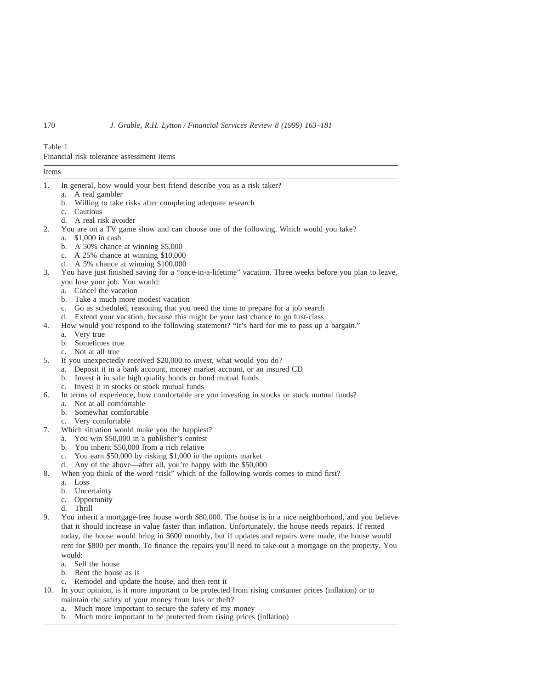Table 1

Financial risk tolerance assessment items

| Items |                                                                                                          |
|-------|----------------------------------------------------------------------------------------------------------|
| 1.    | In general, how would your best friend describe you as a risk taker?                                     |
|       | a. A real gambler                                                                                        |
|       | Willing to take risks after completing adequate research<br>b.                                           |
|       | c. Cautious                                                                                              |
|       | d. A real risk avoider                                                                                   |
| 2.    | You are on a TV game show and can choose one of the following. Which would you take?                     |
|       | $$1,000$ in cash<br>a.                                                                                   |
|       | b. A 50% chance at winning $$5,000$                                                                      |
|       | c. A 25% chance at winning \$10,000                                                                      |
|       | d. A 5% chance at winning $$100,000$                                                                     |
| 3.    | You have just finished saving for a "once-in-a-lifetime" vacation. Three weeks before you plan to leave, |
|       | you lose your job. You would:                                                                            |
|       | Cancel the vacation<br>a.                                                                                |
|       | b. Take a much more modest vacation                                                                      |
|       | c. Go as scheduled, reasoning that you need the time to prepare for a job search                         |
|       | d. Extend your vacation, because this might be your last chance to go first-class                        |
| 4.    | How would you respond to the following statement? "It's hard for me to pass up a bargain."               |
|       | Very true<br>a.                                                                                          |
|       | Sometimes true<br>b.                                                                                     |
|       | c. Not at all true                                                                                       |
| 5.    | If you unexpectedly received \$20,000 to <i>invest</i> , what would you do?                              |
|       | Deposit it in a bank account, money market account, or an insured CD<br>a.                               |
|       | b. Invest it in safe high quality bonds or bond mutual funds                                             |
|       | c. Invest it in stocks or stock mutual funds                                                             |
| 6.    | In terms of experience, how comfortable are you investing in stocks or stock mutual funds?               |
|       | Not at all comfortable<br>a.                                                                             |
|       | Somewhat comfortable<br>b.                                                                               |
|       | c. Very comfortable                                                                                      |
| 7.    | Which situation would make you the happiest?                                                             |
|       | You win \$50,000 in a publisher's contest<br>a.                                                          |
|       | b. You inherit \$50,000 from a rich relative                                                             |
|       | c. You earn \$50,000 by risking \$1,000 in the options market                                            |
|       | Any of the above—after all, you're happy with the \$50,000<br>d.                                         |
| 8.    | When you think of the word "risk" which of the following words comes to mind first?<br>Loss              |
|       | a.                                                                                                       |
|       | Uncertainty<br>b.                                                                                        |
|       | c. Opportunity<br>d. Thrill                                                                              |
| 9.    | You inherit a mortgage-free house worth \$80,000. The house is in a nice neighborhood, and you believe   |
|       | that it should increase in value faster than inflation Hufortunately the house needs repairs. If repted  |

that it should increase in value faster than inflation. Unfortunately, the house needs repairs. If rented today, the house would bring in \$600 monthly, but if updates and repairs were made, the house would rent for \$800 per month. To finance the repairs you'll need to take out a mortgage on the property. You would:

- a. Sell the house
- b. Rent the house as is
- c. Remodel and update the house, and then rent it
- 10. In your opinion, is it more important to be protected from rising consumer prices (inflation) or to maintain the safety of your money from loss or theft?
	- a. Much more important to secure the safety of my money
	- b. Much more important to be protected from rising prices (inflation)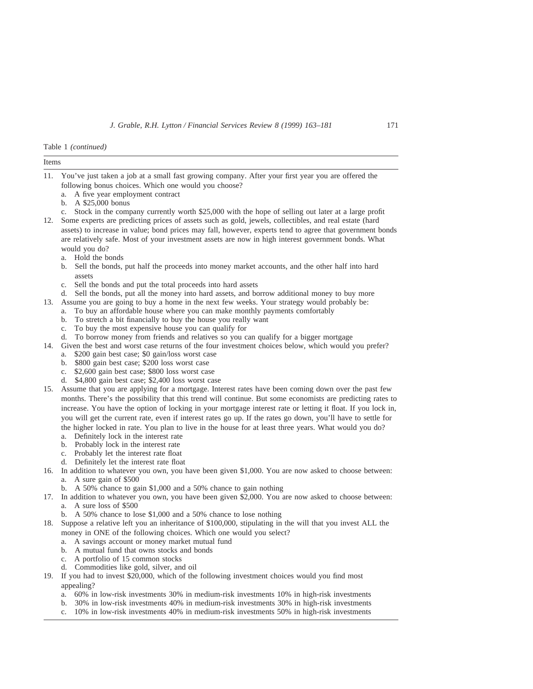Table 1 *(continued)*

| Items |                                                                                                                                                                                                                                                                                                                                                                                                                                                                                                                                                                                                                                                                                                                                                                                                          |
|-------|----------------------------------------------------------------------------------------------------------------------------------------------------------------------------------------------------------------------------------------------------------------------------------------------------------------------------------------------------------------------------------------------------------------------------------------------------------------------------------------------------------------------------------------------------------------------------------------------------------------------------------------------------------------------------------------------------------------------------------------------------------------------------------------------------------|
| 11.   | You've just taken a job at a small fast growing company. After your first year you are offered the<br>following bonus choices. Which one would you choose?<br>A five year employment contract<br>a.<br>A \$25,000 bonus<br>b.                                                                                                                                                                                                                                                                                                                                                                                                                                                                                                                                                                            |
| 12.   | Stock in the company currently worth \$25,000 with the hope of selling out later at a large profit<br>c.<br>Some experts are predicting prices of assets such as gold, jewels, collectibles, and real estate (hard<br>assets) to increase in value; bond prices may fall, however, experts tend to agree that government bonds<br>are relatively safe. Most of your investment assets are now in high interest government bonds. What<br>would you do?<br>a. Hold the bonds<br>Sell the bonds, put half the proceeds into money market accounts, and the other half into hard<br>b.                                                                                                                                                                                                                      |
|       | assets<br>Sell the bonds and put the total proceeds into hard assets<br>c.<br>Sell the bonds, put all the money into hard assets, and borrow additional money to buy more<br>d.                                                                                                                                                                                                                                                                                                                                                                                                                                                                                                                                                                                                                          |
| 13.   | Assume you are going to buy a home in the next few weeks. Your strategy would probably be:<br>To buy an affordable house where you can make monthly payments comfortably<br>a.<br>To stretch a bit financially to buy the house you really want<br>b.<br>To buy the most expensive house you can qualify for<br>c.                                                                                                                                                                                                                                                                                                                                                                                                                                                                                       |
| 14.   | To borrow money from friends and relatives so you can qualify for a bigger mortgage<br>d.<br>Given the best and worst case returns of the four investment choices below, which would you prefer?<br>\$200 gain best case; \$0 gain/loss worst case<br>a.<br>\$800 gain best case; \$200 loss worst case<br>b.<br>c. \$2,600 gain best case; \$800 loss worst case                                                                                                                                                                                                                                                                                                                                                                                                                                        |
| 15.   | \$4,800 gain best case; \$2,400 loss worst case<br>d.<br>Assume that you are applying for a mortgage. Interest rates have been coming down over the past few<br>months. There's the possibility that this trend will continue. But some economists are predicting rates to<br>increase. You have the option of locking in your mortgage interest rate or letting it float. If you lock in,<br>you will get the current rate, even if interest rates go up. If the rates go down, you'll have to settle for<br>the higher locked in rate. You plan to live in the house for at least three years. What would you do?<br>Definitely lock in the interest rate<br>a.<br>Probably lock in the interest rate<br>b.<br>c. Probably let the interest rate float<br>Definitely let the interest rate float<br>d. |
| 16.   | In addition to whatever you own, you have been given \$1,000. You are now asked to choose between:<br>A sure gain of \$500<br>a.                                                                                                                                                                                                                                                                                                                                                                                                                                                                                                                                                                                                                                                                         |
| 17.   | b. A 50% chance to gain \$1,000 and a 50% chance to gain nothing<br>In addition to whatever you own, you have been given \$2,000. You are now asked to choose between:<br>a. A sure loss of \$500                                                                                                                                                                                                                                                                                                                                                                                                                                                                                                                                                                                                        |
| 18.   | b. A 50% chance to lose \$1,000 and a 50% chance to lose nothing<br>Suppose a relative left you an inheritance of \$100,000, stipulating in the will that you invest ALL the<br>money in ONE of the following choices. Which one would you select?<br>a. A savings account or money market mutual fund<br>A mutual fund that owns stocks and bonds<br>b.<br>A portfolio of 15 common stocks<br>c.<br>Commodities like gold, silver, and oil<br>d.                                                                                                                                                                                                                                                                                                                                                        |
| 19.   | If you had to invest \$20,000, which of the following investment choices would you find most<br>appealing?<br>60% in low-risk investments 30% in medium-risk investments 10% in high-risk investments<br>a.<br>30% in low-risk investments 40% in medium-risk investments 30% in high-risk investments<br>b.<br>10% in low-risk investments 40% in medium-risk investments 50% in high-risk investments<br>c.                                                                                                                                                                                                                                                                                                                                                                                            |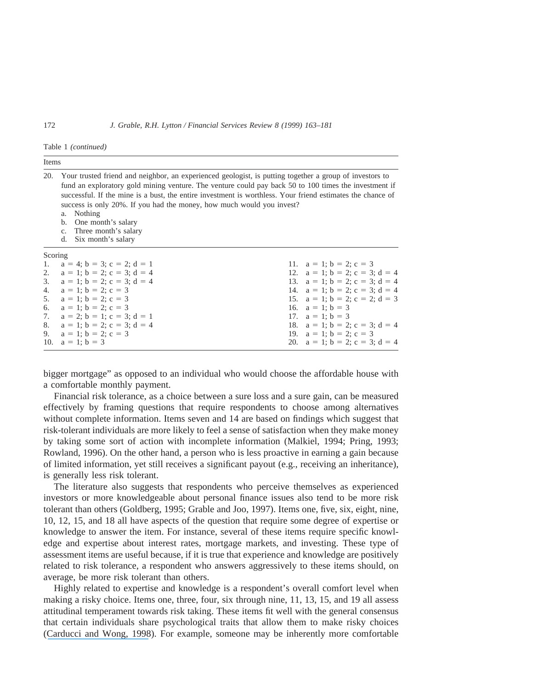|  | Table 1 (continued) |
|--|---------------------|
|--|---------------------|

| Items   |                                                                                                                                                                                                                                                                                                                                                                                                                                                                                                          |                                           |
|---------|----------------------------------------------------------------------------------------------------------------------------------------------------------------------------------------------------------------------------------------------------------------------------------------------------------------------------------------------------------------------------------------------------------------------------------------------------------------------------------------------------------|-------------------------------------------|
| 20.     | Your trusted friend and neighbor, an experienced geologist, is putting together a group of investors to<br>fund an exploratory gold mining venture. The venture could pay back 50 to 100 times the investment if<br>successful. If the mine is a bust, the entire investment is worthless. Your friend estimates the chance of<br>success is only 20%. If you had the money, how much would you invest?<br>a. Nothing<br>One month's salary<br>b.<br>c. Three month's salary<br>Six month's salary<br>d. |                                           |
| Scoring |                                                                                                                                                                                                                                                                                                                                                                                                                                                                                                          |                                           |
|         | 1. $a = 4$ ; $b = 3$ ; $c = 2$ ; $d = 1$                                                                                                                                                                                                                                                                                                                                                                                                                                                                 | 11. $a = 1$ : $b = 2$ : $c = 3$           |
|         | 2. $a = 1$ ; $b = 2$ ; $c = 3$ ; $d = 4$                                                                                                                                                                                                                                                                                                                                                                                                                                                                 | 12. $a = 1$ ; $b = 2$ ; $c = 3$ ; $d = 4$ |
|         | 3. $a = 1$ ; $b = 2$ ; $c = 3$ ; $d = 4$                                                                                                                                                                                                                                                                                                                                                                                                                                                                 | 13. $a = 1$ : $b = 2$ : $c = 3$ : $d = 4$ |
|         | 4. $a = 1$ ; $b = 2$ ; $c = 3$                                                                                                                                                                                                                                                                                                                                                                                                                                                                           | 14. $a = 1$ : $b = 2$ : $c = 3$ : $d = 4$ |
|         | 5. $a = 1$ ; $b = 2$ ; $c = 3$                                                                                                                                                                                                                                                                                                                                                                                                                                                                           | 15. $a = 1$ : $b = 2$ : $c = 2$ : $d = 3$ |
|         | 6. $a = 1$ ; $b = 2$ ; $c = 3$                                                                                                                                                                                                                                                                                                                                                                                                                                                                           | 16. $a = 1$ : $b = 3$                     |
|         | 7. $a = 2$ ; $b = 1$ ; $c = 3$ ; $d = 1$                                                                                                                                                                                                                                                                                                                                                                                                                                                                 | 17. $a = 1$ : $b = 3$                     |
|         | 8. $a = 1$ : $b = 2$ : $c = 3$ : $d = 4$                                                                                                                                                                                                                                                                                                                                                                                                                                                                 | 18. $a = 1$ : $b = 2$ : $c = 3$ : $d = 4$ |
|         | 9. $a = 1$ ; $b = 2$ ; $c = 3$                                                                                                                                                                                                                                                                                                                                                                                                                                                                           | 19. $a = 1$ : $b = 2$ : $c = 3$           |
|         | 10. $a = 1$ ; $b = 3$                                                                                                                                                                                                                                                                                                                                                                                                                                                                                    | 20. $a = 1$ ; $b = 2$ ; $c = 3$ ; $d = 4$ |

bigger mortgage" as opposed to an individual who would choose the affordable house with a comfortable monthly payment.

Financial risk tolerance, as a choice between a sure loss and a sure gain, can be measured effectively by framing questions that require respondents to choose among alternatives without complete information. Items seven and 14 are based on findings which suggest that risk-tolerant individuals are more likely to feel a sense of satisfaction when they make money by taking some sort of action with incomplete information (Malkiel, 1994; Pring, 1993; Rowland, 1996). On the other hand, a person who is less proactive in earning a gain because of limited information, yet still receives a significant payout (e.g., receiving an inheritance), is generally less risk tolerant.

The literature also suggests that respondents who perceive themselves as experienced investors or more knowledgeable about personal finance issues also tend to be more risk tolerant than others (Goldberg, 1995; Grable and Joo, 1997). Items one, five, six, eight, nine, 10, 12, 15, and 18 all have aspects of the question that require some degree of expertise or knowledge to answer the item. For instance, several of these items require specific knowledge and expertise about interest rates, mortgage markets, and investing. These type of assessment items are useful because, if it is true that experience and knowledge are positively related to risk tolerance, a respondent who answers aggressively to these items should, on average, be more risk tolerant than others.

Highly related to expertise and knowledge is a respondent's overall comfort level when making a risky choice. Items one, three, four, six through nine, 11, 13, 15, and 19 all assess attitudinal temperament towards risk taking. These items fit well with the general consensus that certain individuals share psychological traits that allow them to make risky choices ([Carducci and Wong, 1998](https://www.researchgate.net/publication/225833860_Type_A_and_Risk_Taking_in_Everyday_Money_Matters?el=1_x_8&enrichId=rgreq-81e453807169823ece56453b6b602f62-XXX&enrichSource=Y292ZXJQYWdlOzQ5NTE0NDA7QVM6OTc2NTYyNzc4MzE2OTdAMTQwMDI5NDQ3OTgwOA==)). For example, someone may be inherently more comfortable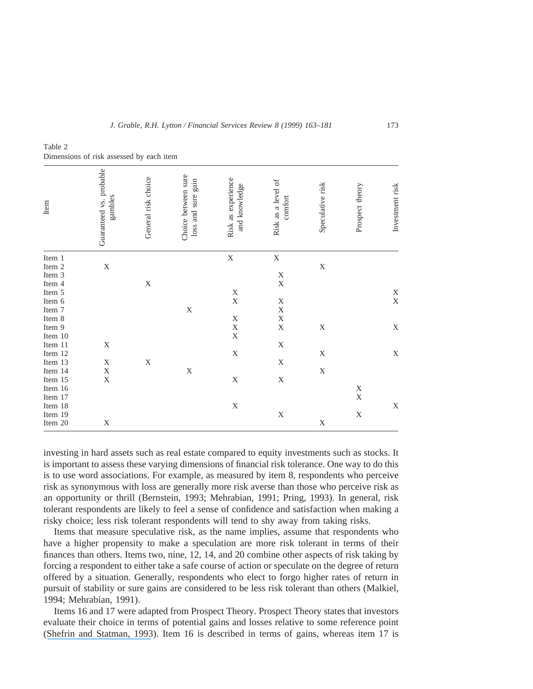|            | -------                            |                     |                                              |                                     |                               |                  |                 |                    |
|------------|------------------------------------|---------------------|----------------------------------------------|-------------------------------------|-------------------------------|------------------|-----------------|--------------------|
| Item       | Guaranteed vs. probable<br>gambles | General risk choice | Choice between sure<br>gain<br>loss and sure | Risk as experience<br>and knowledge | Risk as a level of<br>comfort | Speculative risk | Prospect theory | Investment risk    |
| Item 1     |                                    |                     |                                              | $\mathbf X$                         | $\mathbf X$                   |                  |                 |                    |
| Item 2     | $\mathbf X$                        |                     |                                              |                                     |                               | $\mathbf X$      |                 |                    |
| Item $3$   |                                    |                     |                                              |                                     | $\mathbf X$                   |                  |                 |                    |
| Item 4     |                                    | $\mathbf X$         |                                              |                                     | $\mathbf X$                   |                  |                 |                    |
| Item 5     |                                    |                     |                                              |                                     |                               |                  |                 |                    |
| Item $6\,$ |                                    |                     |                                              | $_{\rm X}^{\rm X}$                  |                               |                  |                 | $_{\rm X}^{\rm X}$ |
| Item 7     |                                    |                     | $\mathbf X$                                  |                                     | $_{\rm X}^{\rm X}$            |                  |                 |                    |
| Item 8     |                                    |                     |                                              | $\mathbf X$                         | $\frac{X}{X}$                 |                  |                 |                    |
| Item 9     |                                    |                     |                                              | X<br>X                              |                               | $\mathbf X$      |                 | $\mathbf X$        |
| Item 10    |                                    |                     |                                              |                                     |                               |                  |                 |                    |
| Item 11    | $\mathbf X$                        |                     |                                              |                                     | $\mathbf X$                   |                  |                 |                    |
| Item 12    |                                    |                     |                                              | $\mathbf X$                         |                               | $\mathbf X$      |                 | $\mathbf X$        |
| Item 13    | $\mathbf X$                        | $\mathbf X$         |                                              |                                     | $\mathbf X$                   |                  |                 |                    |
| Item 14    | $\mathbf X$                        |                     | $\mathbf X$                                  |                                     |                               | $\mathbf X$      |                 |                    |
| Item 15    | $\mathbf X$                        |                     |                                              | X                                   | $\mathbf X$                   |                  |                 |                    |
| Item 16    |                                    |                     |                                              |                                     |                               |                  | $\mathbf X$     |                    |
| Item 17    |                                    |                     |                                              |                                     |                               |                  | $\bar{X}$       |                    |
| Item 18    |                                    |                     |                                              | $\mathbf X$                         |                               |                  |                 | X                  |
| Item 19    |                                    |                     |                                              |                                     | $\mathbf X$                   |                  | $\mathbf X$     |                    |
| Item 20    | $\mathbf X$                        |                     |                                              |                                     |                               | $\mathbf X$      |                 |                    |

Table 2 Dimensions of risk assessed by each item

investing in hard assets such as real estate compared to equity investments such as stocks. It is important to assess these varying dimensions of financial risk tolerance. One way to do this is to use word associations. For example, as measured by item 8, respondents who perceive risk as synonymous with loss are generally more risk averse than those who perceive risk as an opportunity or thrill (Bernstein, 1993; Mehrabian, 1991; Pring, 1993). In general, risk tolerant respondents are likely to feel a sense of confidence and satisfaction when making a risky choice; less risk tolerant respondents will tend to shy away from taking risks.

Items that measure speculative risk, as the name implies, assume that respondents who have a higher propensity to make a speculation are more risk tolerant in terms of their finances than others. Items two, nine, 12, 14, and 20 combine other aspects of risk taking by forcing a respondent to either take a safe course of action or speculate on the degree of return offered by a situation. Generally, respondents who elect to forgo higher rates of return in pursuit of stability or sure gains are considered to be less risk tolerant than others (Malkiel, 1994; Mehrabian, 1991).

Items 16 and 17 were adapted from Prospect Theory. Prospect Theory states that investors evaluate their choice in terms of potential gains and losses relative to some reference point ([Shefrin and Statman, 1993](https://www.researchgate.net/publication/5055047_Behavioral_Aspects_of_the_Design_and_Marketing_of_Financial_Products?el=1_x_8&enrichId=rgreq-81e453807169823ece56453b6b602f62-XXX&enrichSource=Y292ZXJQYWdlOzQ5NTE0NDA7QVM6OTc2NTYyNzc4MzE2OTdAMTQwMDI5NDQ3OTgwOA==)). Item 16 is described in terms of gains, whereas item 17 is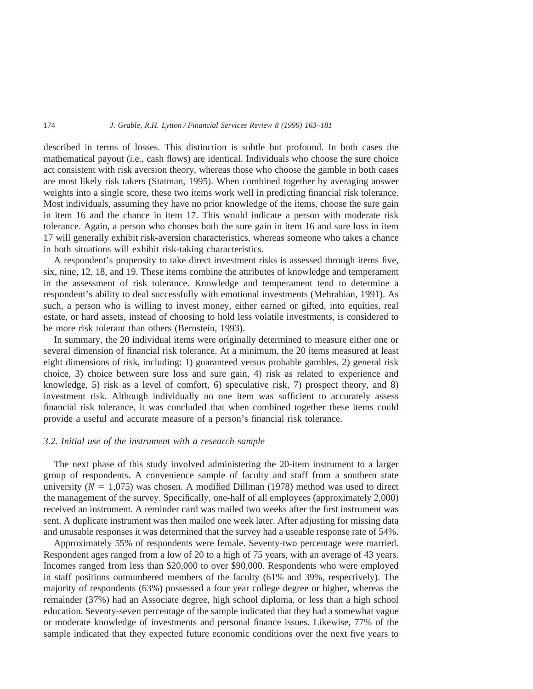described in terms of losses. This distinction is subtle but profound. In both cases the mathematical payout (i.e., cash flows) are identical. Individuals who choose the sure choice act consistent with risk aversion theory, whereas those who choose the gamble in both cases are most likely risk takers (Statman, 1995). When combined together by averaging answer weights into a single score, these two items work well in predicting financial risk tolerance. Most individuals, assuming they have no prior knowledge of the items, choose the sure gain in item 16 and the chance in item 17. This would indicate a person with moderate risk tolerance. Again, a person who chooses both the sure gain in item 16 and sure loss in item 17 will generally exhibit risk-aversion characteristics, whereas someone who takes a chance in both situations will exhibit risk-taking characteristics.

A respondent's propensity to take direct investment risks is assessed through items five, six, nine, 12, 18, and 19. These items combine the attributes of knowledge and temperament in the assessment of risk tolerance. Knowledge and temperament tend to determine a respondent's ability to deal successfully with emotional investments (Mehrabian, 1991). As such, a person who is willing to invest money, either earned or gifted, into equities, real estate, or hard assets, instead of choosing to hold less volatile investments, is considered to be more risk tolerant than others (Bernstein, 1993).

In summary, the 20 individual items were originally determined to measure either one or several dimension of financial risk tolerance. At a minimum, the 20 items measured at least eight dimensions of risk, including: 1) guaranteed versus probable gambles, 2) general risk choice, 3) choice between sure loss and sure gain, 4) risk as related to experience and knowledge, 5) risk as a level of comfort, 6) speculative risk, 7) prospect theory, and 8) investment risk. Although individually no one item was sufficient to accurately assess financial risk tolerance, it was concluded that when combined together these items could provide a useful and accurate measure of a person's financial risk tolerance.

#### *3.2. Initial use of the instrument with a research sample*

The next phase of this study involved administering the 20-item instrument to a larger group of respondents. A convenience sample of faculty and staff from a southern state university  $(N = 1,075)$  was chosen. A modified Dillman (1978) method was used to direct the management of the survey. Specifically, one-half of all employees (approximately 2,000) received an instrument. A reminder card was mailed two weeks after the first instrument was sent. A duplicate instrument was then mailed one week later. After adjusting for missing data and unusable responses it was determined that the survey had a useable response rate of 54%.

Approximately 55% of respondents were female. Seventy-two percentage were married. Respondent ages ranged from a low of 20 to a high of 75 years, with an average of 43 years. Incomes ranged from less than \$20,000 to over \$90,000. Respondents who were employed in staff positions outnumbered members of the faculty (61% and 39%, respectively). The majority of respondents (63%) possessed a four year college degree or higher, whereas the remainder (37%) had an Associate degree, high school diploma, or less than a high school education. Seventy-seven percentage of the sample indicated that they had a somewhat vague or moderate knowledge of investments and personal finance issues. Likewise, 77% of the sample indicated that they expected future economic conditions over the next five years to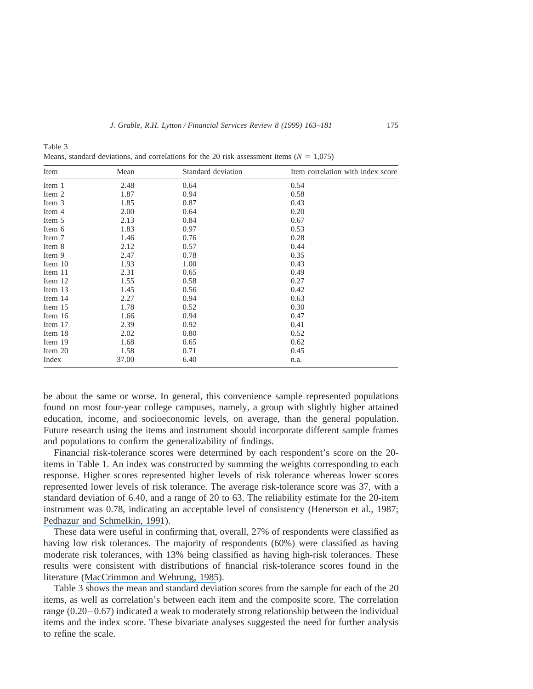| Item    | Mean  | Standard deviation | Item correlation with index score |
|---------|-------|--------------------|-----------------------------------|
| Item 1  | 2.48  | 0.64               | 0.54                              |
| Item 2  | 1.87  | 0.94               | 0.58                              |
| Item 3  | 1.85  | 0.87               | 0.43                              |
| Item 4  | 2.00  | 0.64               | 0.20                              |
| Item 5  | 2.13  | 0.84               | 0.67                              |
| Item 6  | 1.83  | 0.97               | 0.53                              |
| Item 7  | 1.46  | 0.76               | 0.28                              |
| Item 8  | 2.12  | 0.57               | 0.44                              |
| Item 9  | 2.47  | 0.78               | 0.35                              |
| Item 10 | 1.93  | 1.00               | 0.43                              |
| Item 11 | 2.31  | 0.65               | 0.49                              |
| Item 12 | 1.55  | 0.58               | 0.27                              |
| Item 13 | 1.45  | 0.56               | 0.42                              |
| Item 14 | 2.27  | 0.94               | 0.63                              |
| Item 15 | 1.78  | 0.52               | 0.30                              |
| Item 16 | 1.66  | 0.94               | 0.47                              |
| Item 17 | 2.39  | 0.92               | 0.41                              |
| Item 18 | 2.02  | 0.80               | 0.52                              |
| Item 19 | 1.68  | 0.65               | 0.62                              |
| Item 20 | 1.58  | 0.71               | 0.45                              |
| Index   | 37.00 | 6.40               | n.a.                              |

Table 3 Means, standard deviations, and correlations for the 20 risk assessment items  $(N = 1,075)$ 

be about the same or worse. In general, this convenience sample represented populations found on most four-year college campuses, namely, a group with slightly higher attained education, income, and socioeconomic levels, on average, than the general population. Future research using the items and instrument should incorporate different sample frames and populations to confirm the generalizability of findings.

Financial risk-tolerance scores were determined by each respondent's score on the 20 items in Table 1. An index was constructed by summing the weights corresponding to each response. Higher scores represented higher levels of risk tolerance whereas lower scores represented lower levels of risk tolerance. The average risk-tolerance score was 37, with a standard deviation of 6.40, and a range of 20 to 63. The reliability estimate for the 20-item instrument was 0.78, indicating an acceptable level of consistency (Henerson et al., 1987; [Pedhazur and Schmelkin, 1991](https://www.researchgate.net/publication/274367393_Measurement_Design_and_Analysis_An_Integrated_Approach?el=1_x_8&enrichId=rgreq-81e453807169823ece56453b6b602f62-XXX&enrichSource=Y292ZXJQYWdlOzQ5NTE0NDA7QVM6OTc2NTYyNzc4MzE2OTdAMTQwMDI5NDQ3OTgwOA==)).

These data were useful in confirming that, overall, 27% of respondents were classified as having low risk tolerances. The majority of respondents (60%) were classified as having moderate risk tolerances, with 13% being classified as having high-risk tolerances. These results were consistent with distributions of financial risk-tolerance scores found in the literature ([MacCrimmon and Wehrung, 1985](https://www.researchgate.net/publication/226786283_A_Portfolio_of_Risk_Measures?el=1_x_8&enrichId=rgreq-81e453807169823ece56453b6b602f62-XXX&enrichSource=Y292ZXJQYWdlOzQ5NTE0NDA7QVM6OTc2NTYyNzc4MzE2OTdAMTQwMDI5NDQ3OTgwOA==)).

Table 3 shows the mean and standard deviation scores from the sample for each of the 20 items, as well as correlation's between each item and the composite score. The correlation range (0.20–0.67) indicated a weak to moderately strong relationship between the individual items and the index score. These bivariate analyses suggested the need for further analysis to refine the scale.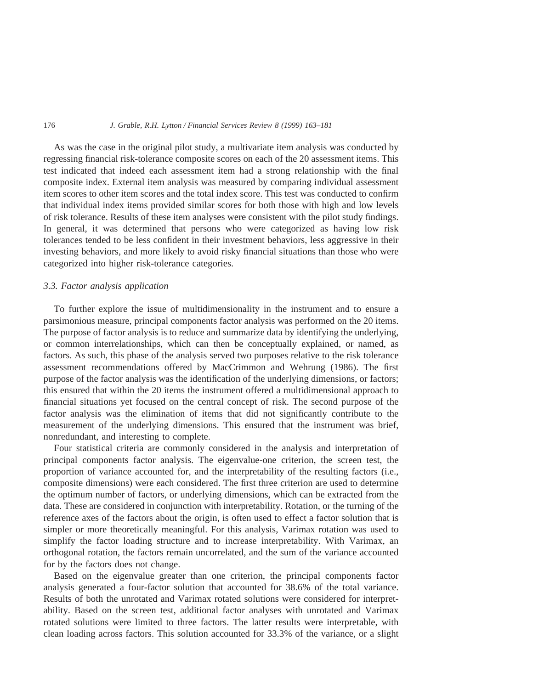As was the case in the original pilot study, a multivariate item analysis was conducted by regressing financial risk-tolerance composite scores on each of the 20 assessment items. This test indicated that indeed each assessment item had a strong relationship with the final composite index. External item analysis was measured by comparing individual assessment item scores to other item scores and the total index score. This test was conducted to confirm that individual index items provided similar scores for both those with high and low levels of risk tolerance. Results of these item analyses were consistent with the pilot study findings. In general, it was determined that persons who were categorized as having low risk tolerances tended to be less confident in their investment behaviors, less aggressive in their investing behaviors, and more likely to avoid risky financial situations than those who were categorized into higher risk-tolerance categories.

#### *3.3. Factor analysis application*

To further explore the issue of multidimensionality in the instrument and to ensure a parsimonious measure, principal components factor analysis was performed on the 20 items. The purpose of factor analysis is to reduce and summarize data by identifying the underlying, or common interrelationships, which can then be conceptually explained, or named, as factors. As such, this phase of the analysis served two purposes relative to the risk tolerance assessment recommendations offered by MacCrimmon and Wehrung (1986). The first purpose of the factor analysis was the identification of the underlying dimensions, or factors; this ensured that within the 20 items the instrument offered a multidimensional approach to financial situations yet focused on the central concept of risk. The second purpose of the factor analysis was the elimination of items that did not significantly contribute to the measurement of the underlying dimensions. This ensured that the instrument was brief, nonredundant, and interesting to complete.

Four statistical criteria are commonly considered in the analysis and interpretation of principal components factor analysis. The eigenvalue-one criterion, the screen test, the proportion of variance accounted for, and the interpretability of the resulting factors (i.e., composite dimensions) were each considered. The first three criterion are used to determine the optimum number of factors, or underlying dimensions, which can be extracted from the data. These are considered in conjunction with interpretability. Rotation, or the turning of the reference axes of the factors about the origin, is often used to effect a factor solution that is simpler or more theoretically meaningful. For this analysis, Varimax rotation was used to simplify the factor loading structure and to increase interpretability. With Varimax, an orthogonal rotation, the factors remain uncorrelated, and the sum of the variance accounted for by the factors does not change.

Based on the eigenvalue greater than one criterion, the principal components factor analysis generated a four-factor solution that accounted for 38.6% of the total variance. Results of both the unrotated and Varimax rotated solutions were considered for interpretability. Based on the screen test, additional factor analyses with unrotated and Varimax rotated solutions were limited to three factors. The latter results were interpretable, with clean loading across factors. This solution accounted for 33.3% of the variance, or a slight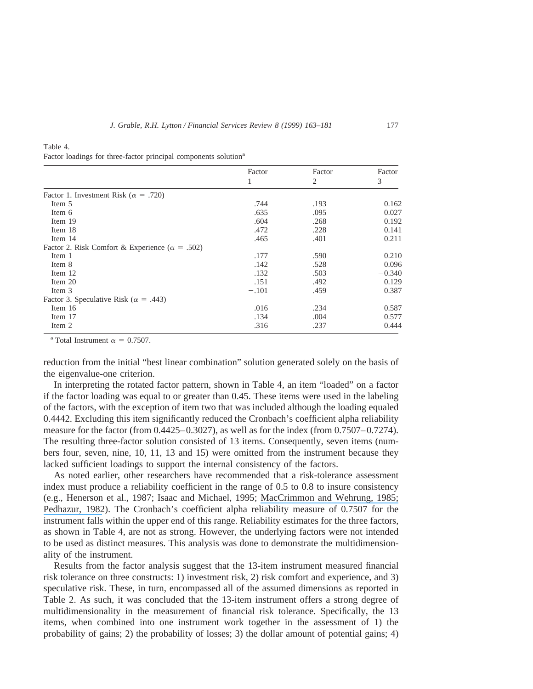Table 4.

| Factor loadings for three-factor principal components solution <sup>a</sup> |  |  |  |  |
|-----------------------------------------------------------------------------|--|--|--|--|
|                                                                             |  |  |  |  |

|                                                         | Factor  | Factor<br>2 | Factor<br>3 |
|---------------------------------------------------------|---------|-------------|-------------|
|                                                         |         |             |             |
| Factor 1. Investment Risk ( $\alpha$ = .720)            |         |             |             |
| Item 5                                                  | .744    | .193        | 0.162       |
| Item 6                                                  | .635    | .095        | 0.027       |
| Item 19                                                 | .604    | .268        | 0.192       |
| Item 18                                                 | .472    | .228        | 0.141       |
| Item 14                                                 | .465    | .401        | 0.211       |
| Factor 2. Risk Comfort & Experience ( $\alpha = .502$ ) |         |             |             |
| Item 1                                                  | .177    | .590        | 0.210       |
| Item 8                                                  | .142    | .528        | 0.096       |
| Item 12                                                 | .132    | .503        | $-0.340$    |
| Item 20                                                 | .151    | .492        | 0.129       |
| Item 3                                                  | $-.101$ | .459        | 0.387       |
| Factor 3. Speculative Risk ( $\alpha$ = .443)           |         |             |             |
| Item 16                                                 | .016    | .234        | 0.587       |
| Item 17                                                 | .134    | .004        | 0.577       |
| Item 2                                                  | .316    | .237        | 0.444       |

<sup>a</sup> Total Instrument  $\alpha = 0.7507$ .

reduction from the initial "best linear combination" solution generated solely on the basis of the eigenvalue-one criterion.

In interpreting the rotated factor pattern, shown in Table 4, an item "loaded" on a factor if the factor loading was equal to or greater than 0.45. These items were used in the labeling of the factors, with the exception of item two that was included although the loading equaled 0.4442. Excluding this item significantly reduced the Cronbach's coefficient alpha reliability measure for the factor (from 0.4425–0.3027), as well as for the index (from 0.7507–0.7274). The resulting three-factor solution consisted of 13 items. Consequently, seven items (numbers four, seven, nine, 10, 11, 13 and 15) were omitted from the instrument because they lacked sufficient loadings to support the internal consistency of the factors.

As noted earlier, other researchers have recommended that a risk-tolerance assessment index must produce a reliability coefficient in the range of 0.5 to 0.8 to insure consistency (e.g., Henerson et al., 1987; Isaac and Michael, 1995; [MacCrimmon and Wehrung, 1985;](https://www.researchgate.net/publication/226786283_A_Portfolio_of_Risk_Measures?el=1_x_8&enrichId=rgreq-81e453807169823ece56453b6b602f62-XXX&enrichSource=Y292ZXJQYWdlOzQ5NTE0NDA7QVM6OTc2NTYyNzc4MzE2OTdAMTQwMDI5NDQ3OTgwOA==) [Pedhazur, 1982](https://www.researchgate.net/publication/49547463_Multiple_Regression_In_Behavioral_Research?el=1_x_8&enrichId=rgreq-81e453807169823ece56453b6b602f62-XXX&enrichSource=Y292ZXJQYWdlOzQ5NTE0NDA7QVM6OTc2NTYyNzc4MzE2OTdAMTQwMDI5NDQ3OTgwOA==)). The Cronbach's coefficient alpha reliability measure of 0.7507 for the instrument falls within the upper end of this range. Reliability estimates for the three factors, as shown in Table 4, are not as strong. However, the underlying factors were not intended to be used as distinct measures. This analysis was done to demonstrate the multidimensionality of the instrument.

Results from the factor analysis suggest that the 13-item instrument measured financial risk tolerance on three constructs: 1) investment risk, 2) risk comfort and experience, and 3) speculative risk. These, in turn, encompassed all of the assumed dimensions as reported in Table 2. As such, it was concluded that the 13-item instrument offers a strong degree of multidimensionality in the measurement of financial risk tolerance. Specifically, the 13 items, when combined into one instrument work together in the assessment of 1) the probability of gains; 2) the probability of losses; 3) the dollar amount of potential gains; 4)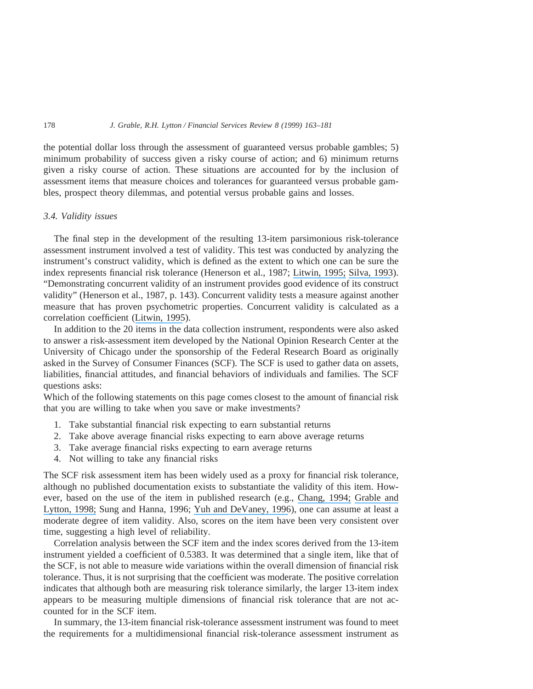the potential dollar loss through the assessment of guaranteed versus probable gambles; 5) minimum probability of success given a risky course of action; and 6) minimum returns given a risky course of action. These situations are accounted for by the inclusion of assessment items that measure choices and tolerances for guaranteed versus probable gambles, prospect theory dilemmas, and potential versus probable gains and losses.

### *3.4. Validity issues*

The final step in the development of the resulting 13-item parsimonious risk-tolerance assessment instrument involved a test of validity. This test was conducted by analyzing the instrument's construct validity, which is defined as the extent to which one can be sure the index represents financial risk tolerance (Henerson et al., 1987; [Litwin, 1995;](https://www.researchgate.net/publication/44821544_How_to_Measure_Survey_Reliability_and_Validity?el=1_x_8&enrichId=rgreq-81e453807169823ece56453b6b602f62-XXX&enrichSource=Y292ZXJQYWdlOzQ5NTE0NDA7QVM6OTc2NTYyNzc4MzE2OTdAMTQwMDI5NDQ3OTgwOA==) [Silva, 1993](https://www.researchgate.net/publication/232513767_Psychometric_Foundations_and_Behavioral_Assessment?el=1_x_8&enrichId=rgreq-81e453807169823ece56453b6b602f62-XXX&enrichSource=Y292ZXJQYWdlOzQ5NTE0NDA7QVM6OTc2NTYyNzc4MzE2OTdAMTQwMDI5NDQ3OTgwOA==)). "Demonstrating concurrent validity of an instrument provides good evidence of its construct validity" (Henerson et al., 1987, p. 143). Concurrent validity tests a measure against another measure that has proven psychometric properties. Concurrent validity is calculated as a correlation coefficient ([Litwin, 1995](https://www.researchgate.net/publication/44821544_How_to_Measure_Survey_Reliability_and_Validity?el=1_x_8&enrichId=rgreq-81e453807169823ece56453b6b602f62-XXX&enrichSource=Y292ZXJQYWdlOzQ5NTE0NDA7QVM6OTc2NTYyNzc4MzE2OTdAMTQwMDI5NDQ3OTgwOA==)).

In addition to the 20 items in the data collection instrument, respondents were also asked to answer a risk-assessment item developed by the National Opinion Research Center at the University of Chicago under the sponsorship of the Federal Research Board as originally asked in the Survey of Consumer Finances (SCF). The SCF is used to gather data on assets, liabilities, financial attitudes, and financial behaviors of individuals and families. The SCF questions asks:

Which of the following statements on this page comes closest to the amount of financial risk that you are willing to take when you save or make investments?

- 1. Take substantial financial risk expecting to earn substantial returns
- 2. Take above average financial risks expecting to earn above average returns
- 3. Take average financial risks expecting to earn average returns
- 4. Not willing to take any financial risks

The SCF risk assessment item has been widely used as a proxy for financial risk tolerance, although no published documentation exists to substantiate the validity of this item. However, based on the use of the item in published research (e.g., [Chang, 1994;](https://www.researchgate.net/publication/228877852_Saving_Behavior_of_US_Households_in_the_1980s_Results_from_the_1983_and_1986_Survey_of_Consumer_Finance?el=1_x_8&enrichId=rgreq-81e453807169823ece56453b6b602f62-XXX&enrichSource=Y292ZXJQYWdlOzQ5NTE0NDA7QVM6OTc2NTYyNzc4MzE2OTdAMTQwMDI5NDQ3OTgwOA==) [Grable and](https://www.researchgate.net/publication/228225789_Investor_Risk_Tolerance_Testing_The_Efficacy_Of_Demographics_As_Differentiating_And_Classifying_Factors?el=1_x_8&enrichId=rgreq-81e453807169823ece56453b6b602f62-XXX&enrichSource=Y292ZXJQYWdlOzQ5NTE0NDA7QVM6OTc2NTYyNzc4MzE2OTdAMTQwMDI5NDQ3OTgwOA==) [Lytton, 1998;](https://www.researchgate.net/publication/228225789_Investor_Risk_Tolerance_Testing_The_Efficacy_Of_Demographics_As_Differentiating_And_Classifying_Factors?el=1_x_8&enrichId=rgreq-81e453807169823ece56453b6b602f62-XXX&enrichSource=Y292ZXJQYWdlOzQ5NTE0NDA7QVM6OTc2NTYyNzc4MzE2OTdAMTQwMDI5NDQ3OTgwOA==) Sung and Hanna, 1996; [Yuh and DeVaney, 1996](https://www.researchgate.net/publication/228178643_Determinants_of_Couples)), one can assume at least a moderate degree of item validity. Also, scores on the item have been very consistent over time, suggesting a high level of reliability.

Correlation analysis between the SCF item and the index scores derived from the 13-item instrument yielded a coefficient of 0.5383. It was determined that a single item, like that of the SCF, is not able to measure wide variations within the overall dimension of financial risk tolerance. Thus, it is not surprising that the coefficient was moderate. The positive correlation indicates that although both are measuring risk tolerance similarly, the larger 13-item index appears to be measuring multiple dimensions of financial risk tolerance that are not accounted for in the SCF item.

In summary, the 13-item financial risk-tolerance assessment instrument was found to meet the requirements for a multidimensional financial risk-tolerance assessment instrument as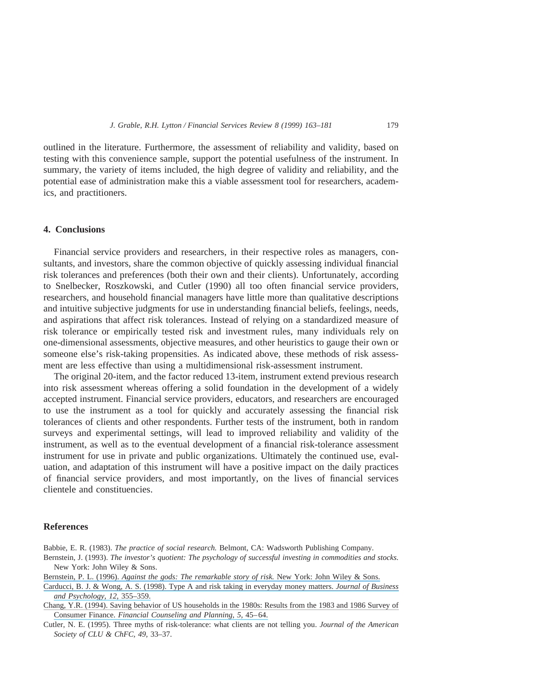outlined in the literature. Furthermore, the assessment of reliability and validity, based on testing with this convenience sample, support the potential usefulness of the instrument. In summary, the variety of items included, the high degree of validity and reliability, and the potential ease of administration make this a viable assessment tool for researchers, academics, and practitioners.

## **4. Conclusions**

Financial service providers and researchers, in their respective roles as managers, consultants, and investors, share the common objective of quickly assessing individual financial risk tolerances and preferences (both their own and their clients). Unfortunately, according to Snelbecker, Roszkowski, and Cutler (1990) all too often financial service providers, researchers, and household financial managers have little more than qualitative descriptions and intuitive subjective judgments for use in understanding financial beliefs, feelings, needs, and aspirations that affect risk tolerances. Instead of relying on a standardized measure of risk tolerance or empirically tested risk and investment rules, many individuals rely on one-dimensional assessments, objective measures, and other heuristics to gauge their own or someone else's risk-taking propensities. As indicated above, these methods of risk assessment are less effective than using a multidimensional risk-assessment instrument.

The original 20-item, and the factor reduced 13-item, instrument extend previous research into risk assessment whereas offering a solid foundation in the development of a widely accepted instrument. Financial service providers, educators, and researchers are encouraged to use the instrument as a tool for quickly and accurately assessing the financial risk tolerances of clients and other respondents. Further tests of the instrument, both in random surveys and experimental settings, will lead to improved reliability and validity of the instrument, as well as to the eventual development of a financial risk-tolerance assessment instrument for use in private and public organizations. Ultimately the continued use, evaluation, and adaptation of this instrument will have a positive impact on the daily practices of financial service providers, and most importantly, on the lives of financial services clientele and constituencies.

#### **References**

Babbie, E. R. (1983). *The practice of social research.* Belmont, CA: Wadsworth Publishing Company.

- Bernstein, J. (1993). *The investor's quotient: The psychology of successful investing in commodities and stocks.* New York: John Wiley & Sons.
- Bernstein, P. L. (1996). *[Against the gods: The remarkable story of risk.](https://www.researchgate.net/publication/269488253_Against_The_Gods_The_Remarkable_Story_of_Risk?el=1_x_8&enrichId=rgreq-81e453807169823ece56453b6b602f62-XXX&enrichSource=Y292ZXJQYWdlOzQ5NTE0NDA7QVM6OTc2NTYyNzc4MzE2OTdAMTQwMDI5NDQ3OTgwOA==)* New York: John Wiley & Sons.
- [Carducci, B. J. & Wong, A. S. \(1998\). Type A and risk taking in everyday money matters.](https://www.researchgate.net/publication/225833860_Type_A_and_Risk_Taking_in_Everyday_Money_Matters?el=1_x_8&enrichId=rgreq-81e453807169823ece56453b6b602f62-XXX&enrichSource=Y292ZXJQYWdlOzQ5NTE0NDA7QVM6OTc2NTYyNzc4MzE2OTdAMTQwMDI5NDQ3OTgwOA==) *Journal of Business [and Psychology, 12,](https://www.researchgate.net/publication/225833860_Type_A_and_Risk_Taking_in_Everyday_Money_Matters?el=1_x_8&enrichId=rgreq-81e453807169823ece56453b6b602f62-XXX&enrichSource=Y292ZXJQYWdlOzQ5NTE0NDA7QVM6OTc2NTYyNzc4MzE2OTdAMTQwMDI5NDQ3OTgwOA==)* 355–359.
- [Chang, Y.R. \(1994\). Saving behavior of US households in the 1980s: Results from the 1983 and 1986 Survey of](https://www.researchgate.net/publication/228877852_Saving_Behavior_of_US_Households_in_the_1980s_Results_from_the_1983_and_1986_Survey_of_Consumer_Finance?el=1_x_8&enrichId=rgreq-81e453807169823ece56453b6b602f62-XXX&enrichSource=Y292ZXJQYWdlOzQ5NTE0NDA7QVM6OTc2NTYyNzc4MzE2OTdAMTQwMDI5NDQ3OTgwOA==) Consumer Finance. *[Financial Counseling and Planning, 5,](https://www.researchgate.net/publication/228877852_Saving_Behavior_of_US_Households_in_the_1980s_Results_from_the_1983_and_1986_Survey_of_Consumer_Finance?el=1_x_8&enrichId=rgreq-81e453807169823ece56453b6b602f62-XXX&enrichSource=Y292ZXJQYWdlOzQ5NTE0NDA7QVM6OTc2NTYyNzc4MzE2OTdAMTQwMDI5NDQ3OTgwOA==)* 45–64.
- Cutler, N. E. (1995). Three myths of risk-tolerance: what clients are not telling you. *Journal of the American Society of CLU & ChFC, 49,* 33–37.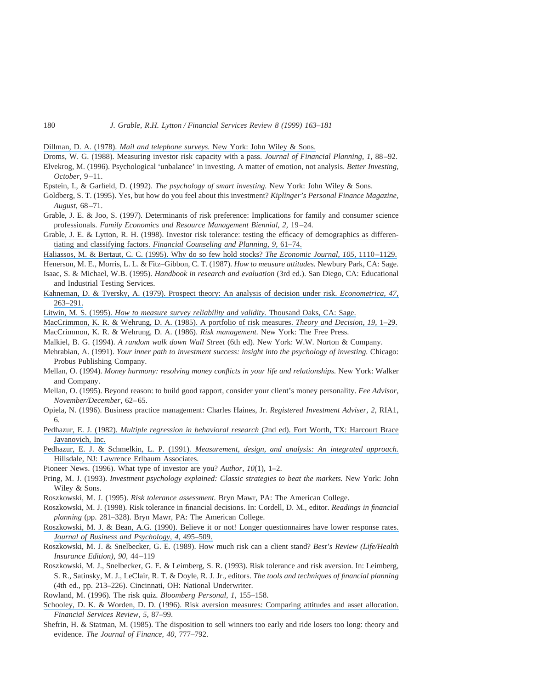Dillman, D. A. (1978). *Mail and telephone surveys.* [New York: John Wiley & Sons.](https://www.researchgate.net/publication/274851509_Mail_and_Telephone_Surveys?el=1_x_8&enrichId=rgreq-81e453807169823ece56453b6b602f62-XXX&enrichSource=Y292ZXJQYWdlOzQ5NTE0NDA7QVM6OTc2NTYyNzc4MzE2OTdAMTQwMDI5NDQ3OTgwOA==)

[Droms, W. G. \(1988\). Measuring investor risk capacity with a pass.](https://www.researchgate.net/publication/291786781_Measuring_Investor_Risk_Capacity_with_a_PASS?el=1_x_8&enrichId=rgreq-81e453807169823ece56453b6b602f62-XXX&enrichSource=Y292ZXJQYWdlOzQ5NTE0NDA7QVM6OTc2NTYyNzc4MzE2OTdAMTQwMDI5NDQ3OTgwOA==) *Journal of Financial Planning, 1*, 88–92.

- Elvekrog, M. (1996). Psychological 'unbalance' in investing. A matter of emotion, not analysis. *Better Investing*, *October*, 9–11.
- Epstein, I., & Garfield, D. (1992). *The psychology of smart investing.* New York: John Wiley & Sons.
- Goldberg, S. T. (1995). Yes, but how do you feel about this investment? *Kiplinger's Personal Finance Magazine, August*, 68–71.
- Grable, J. E. & Joo, S. (1997). Determinants of risk preference: Implications for family and consumer science professionals. *Family Economics and Resource Management Biennial, 2,* 19–24.
- [Grable, J. E. & Lytton, R. H. \(1998\). Investor risk tolerance: testing the efficacy of demographics as differen](https://www.researchgate.net/publication/228225789_Investor_Risk_Tolerance_Testing_The_Efficacy_Of_Demographics_As_Differentiating_And_Classifying_Factors?el=1_x_8&enrichId=rgreq-81e453807169823ece56453b6b602f62-XXX&enrichSource=Y292ZXJQYWdlOzQ5NTE0NDA7QVM6OTc2NTYyNzc4MzE2OTdAMTQwMDI5NDQ3OTgwOA==)tiating and classifying factors. *[Financial Counseling and Planning, 9,](https://www.researchgate.net/publication/228225789_Investor_Risk_Tolerance_Testing_The_Efficacy_Of_Demographics_As_Differentiating_And_Classifying_Factors?el=1_x_8&enrichId=rgreq-81e453807169823ece56453b6b602f62-XXX&enrichSource=Y292ZXJQYWdlOzQ5NTE0NDA7QVM6OTc2NTYyNzc4MzE2OTdAMTQwMDI5NDQ3OTgwOA==)* 61–74.
- [Haliassos, M. & Bertaut, C. C. \(1995\). Why do so few hold stocks?](https://www.researchgate.net/publication/4808963_Why_do_so_Few_Hold_Stocks?el=1_x_8&enrichId=rgreq-81e453807169823ece56453b6b602f62-XXX&enrichSource=Y292ZXJQYWdlOzQ5NTE0NDA7QVM6OTc2NTYyNzc4MzE2OTdAMTQwMDI5NDQ3OTgwOA==) *The Economic Journal, 105,* 1110–1129.
- Henerson, M. E., Morris, L. L. & Fitz–Gibbon, C. T. (1987). *How to measure attitudes.* Newbury Park, CA: Sage.
- Isaac, S. & Michael, W.B. (1995). *Handbook in research and evaluation* (3rd ed.). San Diego, CA: Educational and Industrial Testing Services.
- [Kahneman, D. & Tversky, A. \(1979\). Prospect theory: An analysis of decision under risk.](https://www.researchgate.net/publication/4814288_Prospect_Theory_An_Analysis_of_Decision_Under_Risk?el=1_x_8&enrichId=rgreq-81e453807169823ece56453b6b602f62-XXX&enrichSource=Y292ZXJQYWdlOzQ5NTE0NDA7QVM6OTc2NTYyNzc4MzE2OTdAMTQwMDI5NDQ3OTgwOA==) *Econometrica, 47,* [263–291.](https://www.researchgate.net/publication/4814288_Prospect_Theory_An_Analysis_of_Decision_Under_Risk?el=1_x_8&enrichId=rgreq-81e453807169823ece56453b6b602f62-XXX&enrichSource=Y292ZXJQYWdlOzQ5NTE0NDA7QVM6OTc2NTYyNzc4MzE2OTdAMTQwMDI5NDQ3OTgwOA==)
- Litwin, M. S. (1995). *[How to measure survey reliability and validity.](https://www.researchgate.net/publication/44821544_How_to_Measure_Survey_Reliability_and_Validity?el=1_x_8&enrichId=rgreq-81e453807169823ece56453b6b602f62-XXX&enrichSource=Y292ZXJQYWdlOzQ5NTE0NDA7QVM6OTc2NTYyNzc4MzE2OTdAMTQwMDI5NDQ3OTgwOA==)* Thousand Oaks, CA: Sage.
- [MacCrimmon, K. R. & Wehrung, D. A. \(1985\). A portfolio of risk measures.](https://www.researchgate.net/publication/226786283_A_Portfolio_of_Risk_Measures?el=1_x_8&enrichId=rgreq-81e453807169823ece56453b6b602f62-XXX&enrichSource=Y292ZXJQYWdlOzQ5NTE0NDA7QVM6OTc2NTYyNzc4MzE2OTdAMTQwMDI5NDQ3OTgwOA==) *Theory and Decision, 19,* 1–29. MacCrimmon, K. R. & Wehrung, D. A. (1986). *Risk management.* New York: The Free Press.
- Malkiel, B. G. (1994). *A random walk down Wall Street* (6th ed). New York: W.W. Norton & Company.
- Mehrabian, A. (1991). *Your inner path to investment success: insight into the psychology of investing.* Chicago: Probus Publishing Company.
- Mellan, O. (1994). *Money harmony: resolving money conflicts in your life and relationships.* New York: Walker and Company.
- Mellan, O. (1995). Beyond reason: to build good rapport, consider your client's money personality. *Fee Advisor, November/December*, 62–65.
- Opiela, N. (1996). Business practice management: Charles Haines, Jr. *Registered Investment Adviser, 2,* RIA1, 6.
- Pedhazur, E. J. (1982). *[Multiple regression in behavioral research](https://www.researchgate.net/publication/49547463_Multiple_Regression_In_Behavioral_Research?el=1_x_8&enrichId=rgreq-81e453807169823ece56453b6b602f62-XXX&enrichSource=Y292ZXJQYWdlOzQ5NTE0NDA7QVM6OTc2NTYyNzc4MzE2OTdAMTQwMDI5NDQ3OTgwOA==)* (2nd ed). Fort Worth, TX: Harcourt Brace [Javanovich, Inc.](https://www.researchgate.net/publication/49547463_Multiple_Regression_In_Behavioral_Research?el=1_x_8&enrichId=rgreq-81e453807169823ece56453b6b602f62-XXX&enrichSource=Y292ZXJQYWdlOzQ5NTE0NDA7QVM6OTc2NTYyNzc4MzE2OTdAMTQwMDI5NDQ3OTgwOA==)
- Pedhazur, E. J. & Schmelkin, L. P. (1991). *[Measurement, design, and analysis: An integrated approach.](https://www.researchgate.net/publication/274367393_Measurement_Design_and_Analysis_An_Integrated_Approach?el=1_x_8&enrichId=rgreq-81e453807169823ece56453b6b602f62-XXX&enrichSource=Y292ZXJQYWdlOzQ5NTE0NDA7QVM6OTc2NTYyNzc4MzE2OTdAMTQwMDI5NDQ3OTgwOA==)* [Hillsdale, NJ: Lawrence Erlbaum Associates.](https://www.researchgate.net/publication/274367393_Measurement_Design_and_Analysis_An_Integrated_Approach?el=1_x_8&enrichId=rgreq-81e453807169823ece56453b6b602f62-XXX&enrichSource=Y292ZXJQYWdlOzQ5NTE0NDA7QVM6OTc2NTYyNzc4MzE2OTdAMTQwMDI5NDQ3OTgwOA==)
- Pioneer News. (1996). What type of investor are you? *Author, 10*(1), 1–2.
- Pring, M. J. (1993). *Investment psychology explained: Classic strategies to beat the markets.* New York: John Wiley & Sons.
- Roszkowski, M. J. (1995). *Risk tolerance assessment.* Bryn Mawr, PA: The American College.
- Roszkowski, M. J. (1998). Risk tolerance in financial decisions. In: Cordell, D. M., editor. *Readings in financial planning* (pp. 281–328). Bryn Mawr, PA: The American College.
- [Roszkowski, M. J. & Bean, A.G. \(1990\). Believe it or not! Longer questionnaires have lower response rates.](https://www.researchgate.net/publication/225240332_Believe_It_or_Not_Longer_Questionnaires_Have_Lower_Response_Rates?el=1_x_8&enrichId=rgreq-81e453807169823ece56453b6b602f62-XXX&enrichSource=Y292ZXJQYWdlOzQ5NTE0NDA7QVM6OTc2NTYyNzc4MzE2OTdAMTQwMDI5NDQ3OTgwOA==) *[Journal of Business and Psychology, 4,](https://www.researchgate.net/publication/225240332_Believe_It_or_Not_Longer_Questionnaires_Have_Lower_Response_Rates?el=1_x_8&enrichId=rgreq-81e453807169823ece56453b6b602f62-XXX&enrichSource=Y292ZXJQYWdlOzQ5NTE0NDA7QVM6OTc2NTYyNzc4MzE2OTdAMTQwMDI5NDQ3OTgwOA==)* 495–509.
- Roszkowski, M. J. & Snelbecker, G. E. (1989). How much risk can a client stand? *Best's Review (Life/Health Insurance Edition), 90*, 44–119
- Roszkowski, M. J., Snelbecker, G. E. & Leimberg, S. R. (1993). Risk tolerance and risk aversion. In: Leimberg, S. R., Satinsky, M. J., LeClair, R. T. & Doyle, R. J. Jr., editors. *The tools and techniques of financial planning* (4th ed., pp. 213–226). Cincinnati, OH: National Underwriter.
- Rowland, M. (1996). The risk quiz. *Bloomberg Personal, 1,* 155–158.
- [Schooley, D. K. & Worden, D. D. \(1996\). Risk aversion measures: Comparing attitudes and asset allocation.](https://www.researchgate.net/publication/4951383_Risk_Aversion_Measures_Comparing_Attitudes_and_Asset_Allocation?el=1_x_8&enrichId=rgreq-81e453807169823ece56453b6b602f62-XXX&enrichSource=Y292ZXJQYWdlOzQ5NTE0NDA7QVM6OTc2NTYyNzc4MzE2OTdAMTQwMDI5NDQ3OTgwOA==) *[Financial Services Review, 5,](https://www.researchgate.net/publication/4951383_Risk_Aversion_Measures_Comparing_Attitudes_and_Asset_Allocation?el=1_x_8&enrichId=rgreq-81e453807169823ece56453b6b602f62-XXX&enrichSource=Y292ZXJQYWdlOzQ5NTE0NDA7QVM6OTc2NTYyNzc4MzE2OTdAMTQwMDI5NDQ3OTgwOA==)* 87–99.
- Shefrin, H. & Statman, M. (1985). The disposition to sell winners too early and ride losers too long: theory and evidence. *The Journal of Finance, 40,* 777–792.